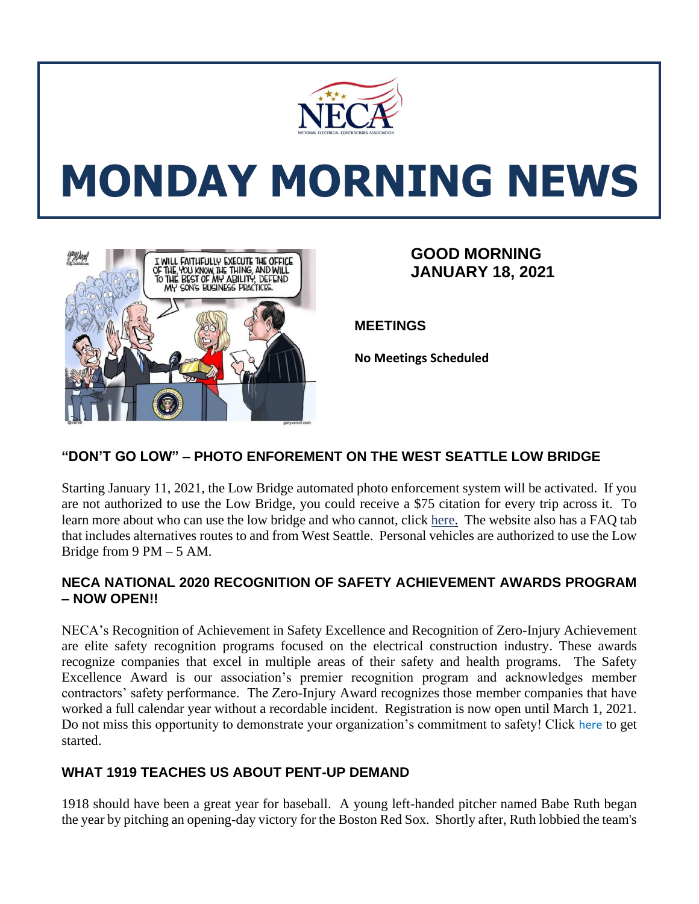

# **MONDAY MORNING NEWS**



## **GOOD MORNING JANUARY 18, 2021**

**MEETINGS**

**No Meetings Scheduled**

## **"DON'T GO LOW" – PHOTO ENFOREMENT ON THE WEST SEATTLE LOW BRIDGE**

Starting January 11, 2021, the Low Bridge automated photo enforcement system will be activated. If you are not authorized to use the Low Bridge, you could receive a \$75 citation for every trip across it. To learn more about who can use the low bridge and who cannot, click [here.](http://www.seattle.gov/transportation/projects-and-programs/programs/bridges-stairs-and-other-structures/bridges/west-seattle-high-rise-bridge-safety-program/low-bridge) The website also has a FAQ tab that includes alternatives routes to and from West Seattle. Personal vehicles are authorized to use the Low Bridge from 9 PM – 5 AM.

#### **NECA NATIONAL 2020 RECOGNITION OF SAFETY ACHIEVEMENT AWARDS PROGRAM – NOW OPEN!!**

NECA's Recognition of Achievement in Safety Excellence and Recognition of Zero-Injury Achievement are elite safety recognition programs focused on the electrical construction industry. These awards recognize companies that excel in multiple areas of their safety and health programs. The Safety Excellence Award is our association's premier recognition program and acknowledges member contractors' safety performance. The Zero-Injury Award recognizes those member companies that have worked a full calendar year without a recordable incident. Registration is now open until March 1, 2021. Do not miss this opportunity to demonstrate your organization's commitment to safety! Click [here](https://www.necanet.org/about-us/awards/neca-safety-awards-program?utm_campaign=Safety%20Network&utm_medium=email&_hsmi=105719190&_hsenc=p2ANqtz-_Fdzrm2w1pv1iQ0R0nBaMUAcTvTwjDGQyryJc84jhPIEJ8va3efWSsrF6wuZEUAK-UsuAuwIzhXzz8p0rBIQ66xrGWdg&utm_content=105719190&utm_source=hs_email) to get started.

### **WHAT 1919 TEACHES US ABOUT PENT-UP DEMAND**

1918 should have been a great year for baseball. A young left-handed pitcher named Babe Ruth began the year by pitching an opening-day victory for the Boston Red Sox. Shortly after, Ruth lobbied the team's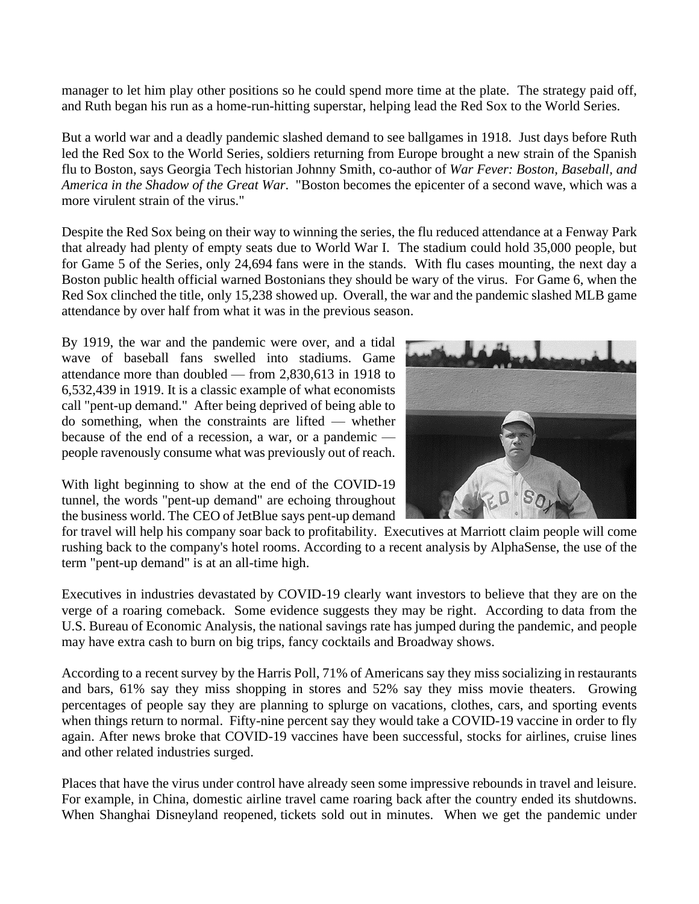manager to let him play other positions so he could spend more time at the plate. The strategy paid off, and Ruth began his run as a home-run-hitting superstar, helping lead the Red Sox to the World Series.

But a world war and a deadly pandemic slashed demand to see ballgames in 1918. Just days before Ruth led the Red Sox to the World Series, soldiers returning from Europe brought a new strain of the Spanish flu to Boston, says Georgia Tech historian Johnny Smith, co-author of *War Fever: Boston, Baseball, and America in the Shadow of the Great War*. "Boston becomes the epicenter of a second wave, which was a more virulent strain of the virus."

Despite the Red Sox being on their way to winning the series, the flu reduced attendance at a Fenway Park that already had plenty of empty seats due to World War I. The stadium could hold 35,000 people, but for Game 5 of the Series, only [24,694](https://www.smithsonianmag.com/history/when-babe-ruth-and-great-influenza-gripped-boston-180974776/?utm_source=npr_newsletter&utm_medium=email&utm_content=20210111&utm_term=5096333&utm_campaign=money&utm_id=4829627&orgid=) fans were in the stands. With flu cases mounting, the next day a Boston public health official warned Bostonians they should be wary of the virus. For Game 6, when the Red Sox clinched the title, only [15,238](https://www.smithsonianmag.com/history/when-babe-ruth-and-great-influenza-gripped-boston-180974776/?utm_source=npr_newsletter&utm_medium=email&utm_content=20210111&utm_term=5096333&utm_campaign=money&utm_id=4829627&orgid=) showed up. Overall, the war and the pandemic slashed MLB game attendance by [over](https://www.researchgate.net/publication/346030461_Economic_and_Financial_Effects_of_the_1918-1919_Spanish_Flu_Pandemic?utm_source=npr_newsletter&utm_medium=email&utm_content=20210111&utm_term=5096333&utm_campaign=money&utm_id=4829627&orgid=) half from what it was in the previous season.

By 1919, the war and the pandemic were over, and a tidal wave of baseball fans swelled into stadiums. Game attendance more than [doubled](https://www.researchgate.net/publication/346030461_Economic_and_Financial_Effects_of_the_1918-1919_Spanish_Flu_Pandemic) — from 2,830,613 in 1918 to 6,532,439 in 1919. It is a classic example of what economists call "pent-up demand." After being deprived of being able to do something, when the constraints are lifted — whether because of the end of a recession, a war, or a pandemic people ravenously consume what was previously out of reach.



With light beginning to show at the end of the COVID-19 tunnel, the words "pent-up demand" are echoing throughout the business world. The CEO of JetBlue says pent-up demand

for travel will help his company soar back to profitability. [Executives](https://fortune.com/2020/12/04/china-is-evidence-of-the-worlds-pent-up-travel-demand/?utm_source=npr_newsletter&utm_medium=email&utm_content=20210111&utm_term=5096333&utm_campaign=money&utm_id=4829627&orgid=) at Marriott claim people will come rushing back to the company's hotel rooms. According to a recent [analysis](https://www.alpha-sense.com/blog/pent-up-demand-reaches-an-all-time-high/?utm_source=npr_newsletter&utm_medium=email&utm_content=20210111&utm_term=5096333&utm_campaign=money&utm_id=4829627&orgid=) by AlphaSense, the use of the term "pent-up demand" is at an all-time high.

Executives in industries devastated by COVID-19 clearly want investors to believe that they are on the verge of a roaring comeback. Some evidence suggests they may be right. According to data [from](https://apps.bea.gov/iTable/iTable.cfm?reqid=19&step=3&isuri=1&nipa_table_list=76&categories=survey&utm_source=npr_newsletter&utm_medium=email&utm_content=20210111&utm_term=5096333&utm_campaign=money&utm_id=4829627&orgid=) the U.S. Bureau of [Economic](https://apps.bea.gov/iTable/iTable.cfm?reqid=19&step=3&isuri=1&nipa_table_list=76&categories=survey&utm_source=npr_newsletter&utm_medium=email&utm_content=20210111&utm_term=5096333&utm_campaign=money&utm_id=4829627&orgid=) Analysis, the national savings rate has jumped during the pandemic, and people may have extra cash to burn on big trips, fancy cocktails and Broadway shows.

According to a recent [survey](https://theharrispoll.com/the-harris-poll-covid19-tracker/?utm_source=npr_newsletter&utm_medium=email&utm_content=20210111&utm_term=5096333&utm_campaign=money&utm_id=4829627&orgid=) by the Harris Poll, 71% of Americans say they miss socializing in restaurants and bars, 61% say they miss shopping in stores and 52% say they miss movie theaters. Growing percentages of people say they are planning to splurge on vacations, clothes, cars, and sporting events when things return to normal. Fifty-nine percent say they would take a COVID-19 vaccine in order to fly again. After news broke that COVID-19 vaccines have been successful, stocks for airlines, cruise lines and other related industries surged.

Places that have the virus under control have already seen some impressive rebounds in travel and leisure. For example, in China, domestic airline travel came [roaring](https://fortune.com/2020/12/04/china-is-evidence-of-the-worlds-pent-up-travel-demand/?utm_source=npr_newsletter&utm_medium=email&utm_content=20210111&utm_term=5096333&utm_campaign=money&utm_id=4829627&orgid=) back after the country ended its shutdowns. When Shanghai Disneyland reopened, [tickets](https://www.npr.org/sections/coronavirus-live-updates/2020/05/08/852661423/shanghai-disneyland-sells-out-of-tickets-for-post-shutdown-reopening?utm_source=npr_newsletter&utm_medium=email&utm_content=20210111&utm_term=5096333&utm_campaign=money&utm_id=4829627&orgid=) sold out in minutes. When we get the pandemic under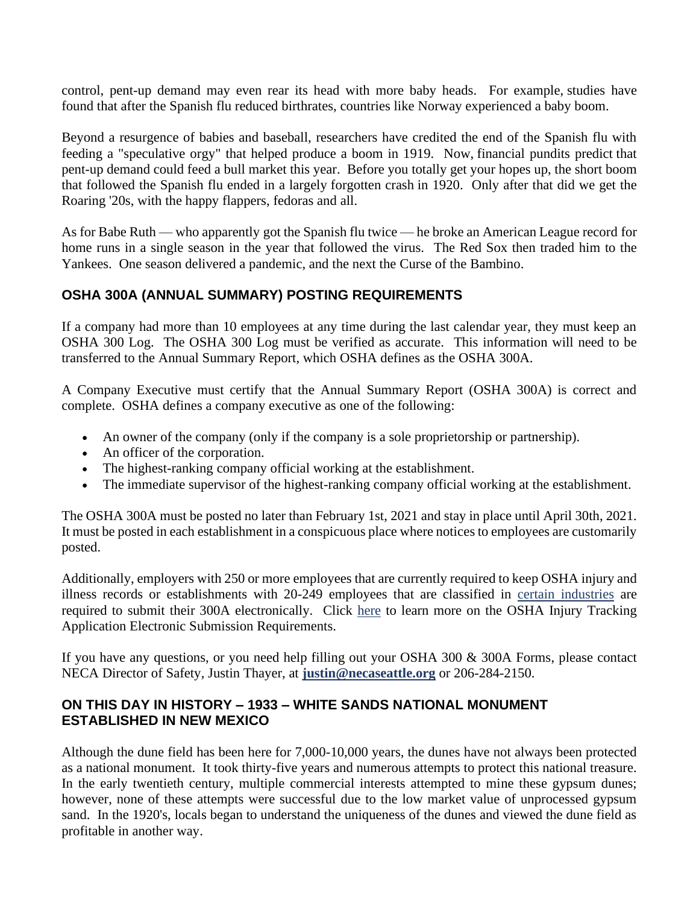control, pent-up demand may even rear its head with more baby heads. For example, [studies](https://ifstudies.org/blog/will-the-coronavirus-spike-births?utm_source=npr_newsletter&utm_medium=email&utm_content=20210111&utm_term=5096333&utm_campaign=money&utm_id=4829627&orgid=) have [found](https://ifstudies.org/blog/will-the-coronavirus-spike-births?utm_source=npr_newsletter&utm_medium=email&utm_content=20210111&utm_term=5096333&utm_campaign=money&utm_id=4829627&orgid=) that after the Spanish flu reduced birthrates, countries like Norway [experienced](https://www.cairn-int.info/revue-population-2004-2-page-229.htm?contenu=resume&utm_source=npr_newsletter&utm_medium=email&utm_content=20210111&utm_term=5096333&utm_campaign=money&utm_id=4829627&orgid=) a baby boom.

Beyond a resurgence of babies and baseball, researchers have credited the end of the Spanish flu with feeding a ["speculative](https://www.researchgate.net/publication/346030461_Economic_and_Financial_Effects_of_the_1918-1919_Spanish_Flu_Pandemic) orgy" that helped produce a boom in 1919. Now, [financial](https://realmoney.thestreet.com/jim-cramer/jim-cramer-here-comes-the-pent-up-demand-bull-market-15505170?utm_source=npr_newsletter&utm_medium=email&utm_content=20210111&utm_term=5096333&utm_campaign=money&utm_id=4829627&orgid=) pundits predict that pent-up demand could feed a bull market this year. Before you totally get your hopes up, the short boom that followed the Spanish flu ended in a largely [forgotten](https://mises.org/library/forgotten-depression-1920?utm_source=npr_newsletter&utm_medium=email&utm_content=20210111&utm_term=5096333&utm_campaign=money&utm_id=4829627&orgid=) crash in 1920. Only after that did we get the Roaring '20s, with the happy flappers, fedoras and all.

As for Babe Ruth — who apparently got the [Spanish](https://slate.com/culture/2020/03/babe-ruth-flu-1918-red-sox-war-fever-excerpt.html?utm_source=npr_newsletter&utm_medium=email&utm_content=20210111&utm_term=5096333&utm_campaign=money&utm_id=4829627&orgid=) flu twice — he broke an [American](https://sabr.org/gamesproj/game/august-14-1919-babe-ruth-hits-17th-home-run-to-set-new-american-league-single-season-record/?utm_source=npr_newsletter&utm_medium=email&utm_content=20210111&utm_term=5096333&utm_campaign=money&utm_id=4829627&orgid=) League record for home runs in a single season in the year that followed the virus. The Red Sox then traded him to the Yankees. One season delivered a pandemic, and the next the Curse of the [Bambino.](https://www.mlb.com/news/curse-of-the-bambino?utm_source=npr_newsletter&utm_medium=email&utm_content=20210111&utm_term=5096333&utm_campaign=money&utm_id=4829627&orgid=)

#### **OSHA 300A (ANNUAL SUMMARY) POSTING REQUIREMENTS**

If a company had more than 10 employees at any time during the last calendar year, they must keep an OSHA 300 Log. The OSHA 300 Log must be verified as accurate. This information will need to be transferred to the Annual Summary Report, which OSHA defines as the OSHA 300A.

A Company Executive must certify that the Annual Summary Report (OSHA 300A) is correct and complete. OSHA defines a company executive as one of the following:

- An owner of the company (only if the company is a sole proprietorship or partnership).
- An officer of the corporation.
- The highest-ranking company official working at the establishment.
- The immediate supervisor of the highest-ranking company official working at the establishment.

The OSHA 300A must be posted no later than February 1st, 2021 and stay in place until April 30th, 2021. It must be posted in each establishment in a conspicuous place where notices to employees are customarily posted.

Additionally, employers with 250 or more employees that are currently required to keep OSHA injury and illness records or establishments with 20-249 employees that are classified in [certain industries](https://www.osha.gov/recordkeeping/NAICScodesforelectronicsubmission.html) are required to submit their 300A electronically. Click [here](https://www.osha.gov/injuryreporting/) to learn more on the OSHA Injury Tracking Application Electronic Submission Requirements.

If you have any questions, or you need help filling out your OSHA 300 & 300A Forms, please contact NECA Director of Safety, Justin Thayer, at **[justin@necaseattle.org](mailto:justin@necaseattle.org)** or 206-284-2150.

#### **ON THIS DAY IN HISTORY – 1933 – WHITE SANDS NATIONAL MONUMENT ESTABLISHED IN NEW MEXICO**

Although the dune field has been here for 7,000-10,000 years, the dunes have not always been protected as a national monument. It took thirty-five years and numerous attempts to protect this national treasure. In the early twentieth century, multiple commercial interests attempted to mine these gypsum dunes; however, none of these attempts were successful due to the low market value of unprocessed gypsum sand. In the 1920's, locals began to understand the uniqueness of the dunes and viewed the dune field as profitable in another way.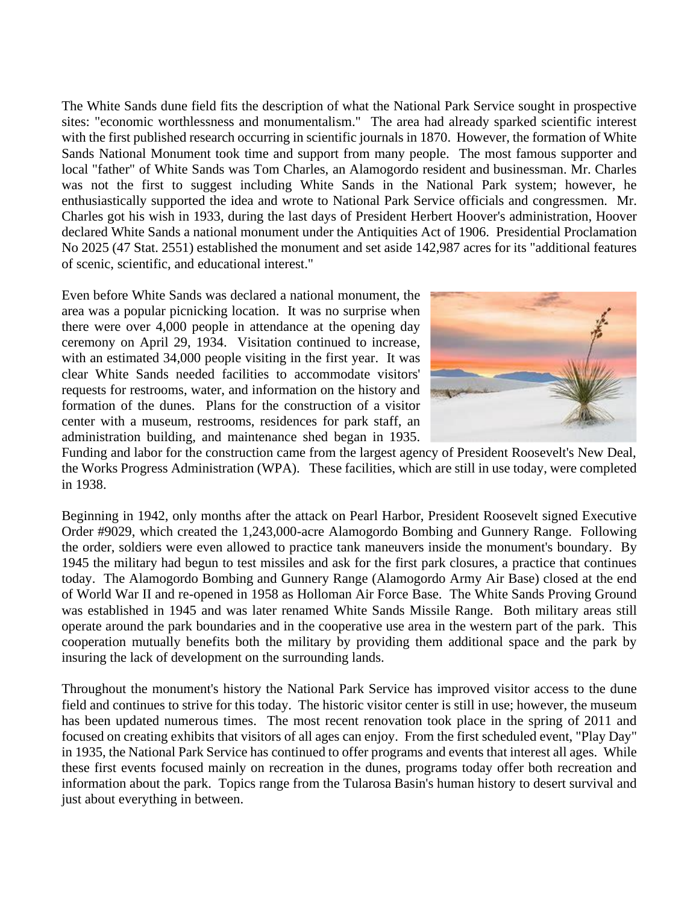The White Sands dune field fits the description of what the National Park Service sought in prospective sites: "economic worthlessness and monumentalism." The area had already sparked scientific interest with the first published research occurring in scientific journals in 1870. However, the formation of White Sands National Monument took time and support from many people. The most famous supporter and local "father" of White Sands was Tom Charles, an Alamogordo resident and businessman. Mr. Charles was not the first to suggest including White Sands in the National Park system; however, he enthusiastically supported the idea and wrote to National Park Service officials and congressmen. Mr. Charles got his wish in 1933, during the last days of President Herbert Hoover's administration, Hoover declared White Sands a national monument under the Antiquities Act of 1906. Presidential Proclamation No 2025 (47 Stat. 2551) established the monument and set aside 142,987 acres for its "additional features of scenic, scientific, and educational interest."

Even before White Sands was declared a national monument, the area was a popular picnicking location. It was no surprise when there were over 4,000 people in attendance at the opening day ceremony on April 29, 1934. Visitation continued to increase, with an estimated 34,000 people visiting in the first year. It was clear White Sands needed facilities to accommodate visitors' requests for restrooms, water, and information on the history and formation of the dunes. Plans for the construction of a visitor center with a museum, restrooms, residences for park staff, an administration building, and maintenance shed began in 1935.



Funding and labor for the construction came from the largest agency of President Roosevelt's New Deal, the Works Progress Administration (WPA). These facilities, which are still in use today, were completed in 1938.

Beginning in 1942, only months after the attack on Pearl Harbor, President Roosevelt signed Executive Order #9029, which created the 1,243,000-acre Alamogordo Bombing and Gunnery Range. Following the order, soldiers were even allowed to practice tank maneuvers inside the monument's boundary. By 1945 the military had begun to test missiles and ask for the first park closures, a practice that continues today. The Alamogordo Bombing and Gunnery Range (Alamogordo Army Air Base) closed at the end of World War II and re-opened in 1958 as Holloman Air Force Base. The White Sands Proving Ground was established in 1945 and was later renamed White Sands Missile Range. Both military areas still operate around the park boundaries and in the cooperative use area in the western part of the park. This cooperation mutually benefits both the military by providing them additional space and the park by insuring the lack of development on the surrounding lands.

Throughout the monument's history the National Park Service has improved visitor access to the dune field and continues to strive for this today. The historic visitor center is still in use; however, the museum has been updated numerous times. The most recent renovation took place in the spring of 2011 and focused on creating exhibits that visitors of all ages can enjoy. From the first scheduled event, "Play Day" in 1935, the National Park Service has continued to offer programs and events that interest all ages. While these first events focused mainly on recreation in the dunes, programs today offer both recreation and information about the park. Topics range from the Tularosa Basin's human history to desert survival and just about everything in between.